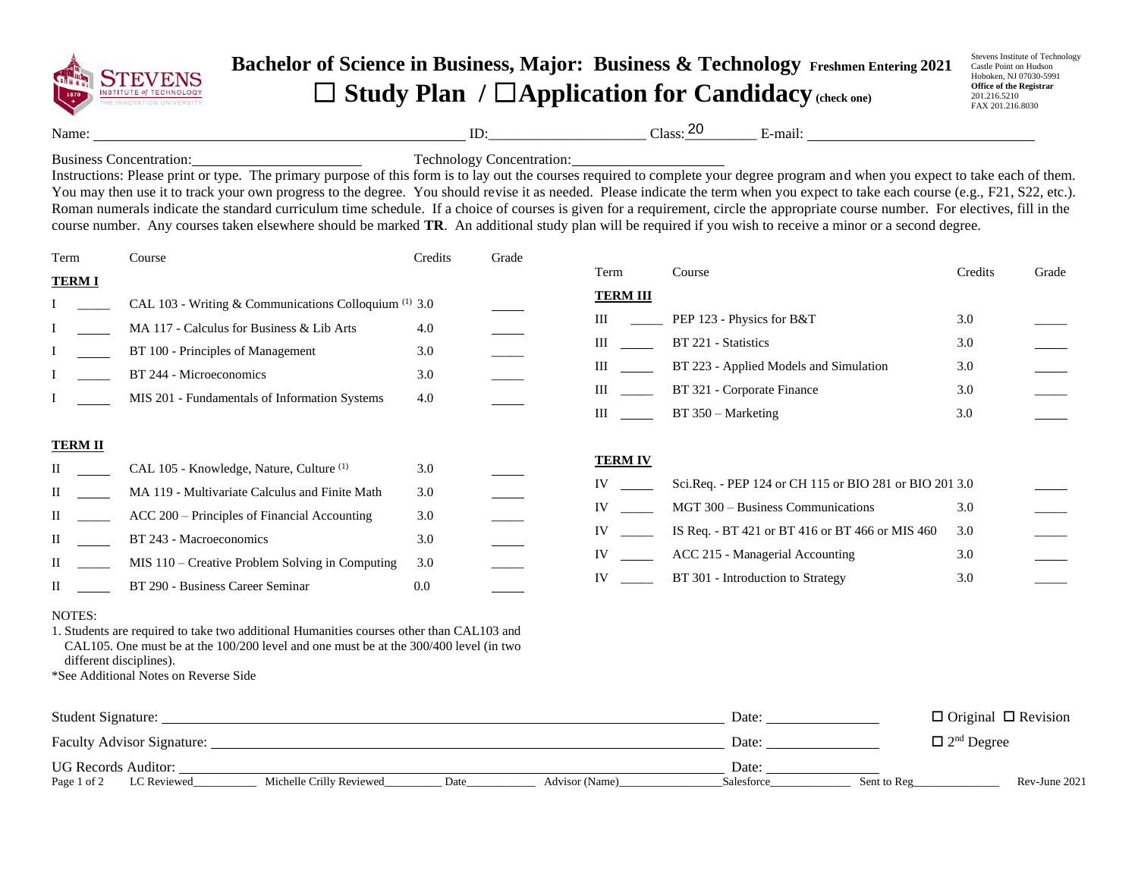

## **Bachelor of Science in Business, Major: Business & Technology Freshmen Entering 2021** ☐ **Study Plan /** ☐**Application for Candidacy(check one)**

Stevens Institute of Technology Castle Point on Hudson Hoboken, NJ 07030-5991 **Office of the Registrar** 201.216.5210 FAX 201.216.8030

Name: ID:\_\_\_\_\_\_\_\_\_\_\_\_\_\_\_\_\_\_\_\_\_\_ Class:\_\_\_\_\_\_\_\_\_\_ E-mail: 20

Business Concentration: Technology Concentration:

Instructions: Please print or type. The primary purpose of this form is to lay out the courses required to complete your degree program and when you expect to take each of them. You may then use it to track your own progress to the degree. You should revise it as needed. Please indicate the term when you expect to take each course (e.g., F21, S22, etc.). Roman numerals indicate the standard curriculum time schedule. If a choice of courses is given for a requirement, circle the appropriate course number. For electives, fill in the course number. Any courses taken elsewhere should be marked **TR**. An additional study plan will be required if you wish to receive a minor or a second degree.

| Term                                         | Course                                                                                                                                                                                                                                                                  | Credits                                | Grade |                                              |                                                                                                                                                                                                                        |                                 |       |
|----------------------------------------------|-------------------------------------------------------------------------------------------------------------------------------------------------------------------------------------------------------------------------------------------------------------------------|----------------------------------------|-------|----------------------------------------------|------------------------------------------------------------------------------------------------------------------------------------------------------------------------------------------------------------------------|---------------------------------|-------|
| <b>TERM I</b>                                |                                                                                                                                                                                                                                                                         |                                        |       | Term                                         | Course                                                                                                                                                                                                                 | Credits                         | Grade |
|                                              | CAL 103 - Writing & Communications Colloquium <sup>(1)</sup> 3.0<br>MA 117 - Calculus for Business & Lib Arts<br>BT 100 - Principles of Management<br>BT 244 - Microeconomics<br>MIS 201 - Fundamentals of Information Systems                                          | 4.0<br>3.0<br>3.0<br>4.0               |       | <b>TERM III</b><br>Ш<br>Ш<br>Ш<br>Ш<br>Ш     | PEP 123 - Physics for B&T<br>BT 221 - Statistics<br>BT 223 - Applied Models and Simulation<br>BT 321 - Corporate Finance<br>$BT 350 - Marketing$                                                                       | 3.0<br>3.0<br>3.0<br>3.0<br>3.0 |       |
| <b>TERM II</b><br>П<br>П<br>П<br>П<br>П<br>П | CAL 105 - Knowledge, Nature, Culture <sup>(1)</sup><br>MA 119 - Multivariate Calculus and Finite Math<br>ACC 200 – Principles of Financial Accounting<br>BT 243 - Macroeconomics<br>MIS 110 – Creative Problem Solving in Computing<br>BT 290 - Business Career Seminar | 3.0<br>3.0<br>3.0<br>3.0<br>3.0<br>0.0 |       | <b>TERM IV</b><br>IV<br>IV<br>IV<br>IV<br>IV | Sci.Req. - PEP 124 or CH 115 or BIO 281 or BIO 201 3.0<br>MGT 300 – Business Communications<br>IS Req. - BT 421 or BT 416 or BT 466 or MIS 460<br>ACC 215 - Managerial Accounting<br>BT 301 - Introduction to Strategy | 3.0<br>3.0<br>3.0<br>3.0        |       |

## NOTES:

1. Students are required to take two additional Humanities courses other than CAL103 and CAL105. One must be at the 100/200 level and one must be at the 300/400 level (in two different disciplines).

\*See Additional Notes on Reverse Side

| Student Signature:                                                               | Date:      | $\Box$ Original $\Box$ Revision |
|----------------------------------------------------------------------------------|------------|---------------------------------|
| <b>Faculty Advisor Signature:</b>                                                | Date:      | $\Box$ 2 <sup>nd</sup> Degree   |
| <b>UG Records Auditor:</b>                                                       | Date:      |                                 |
| Page 1 of 2<br>Michelle Crilly Reviewed<br>LC Reviewed<br>Advisor (Name)<br>Date | Salesforce | Rev-June 2021<br>Sent to Reg    |